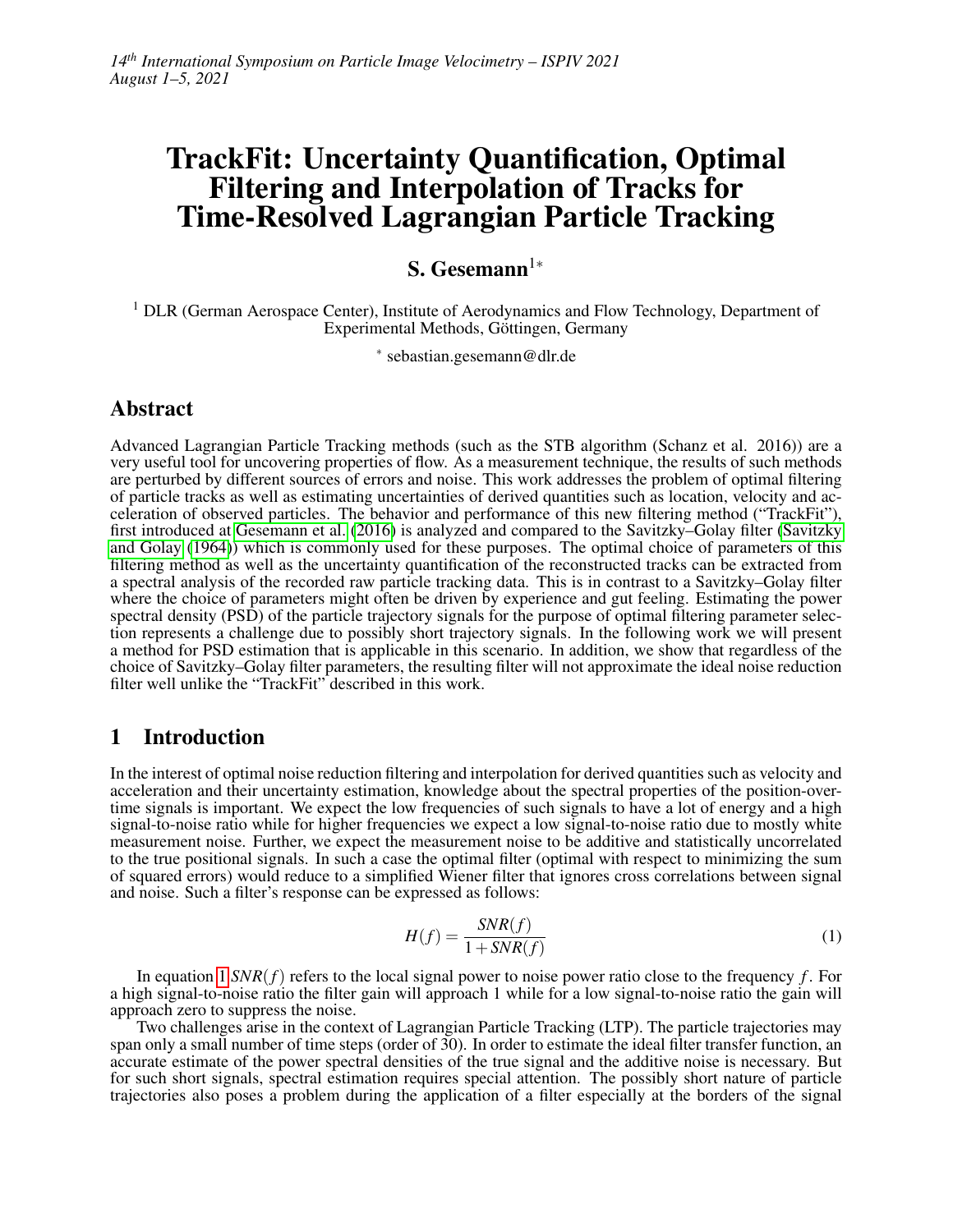# TrackFit: Uncertainty Quantification, Optimal Filtering and Interpolation of Tracks for Time-Resolved Lagrangian Particle Tracking

# S. Gesemann<sup>1∗</sup>

<sup>1</sup> DLR (German Aerospace Center), Institute of Aerodynamics and Flow Technology, Department of Experimental Methods, Göttingen, Germany

∗ sebastian.gesemann@dlr.de

## Abstract

Advanced Lagrangian Particle Tracking methods (such as the STB algorithm (Schanz et al. 2016)) are a very useful tool for uncovering properties of flow. As a measurement technique, the results of such methods are perturbed by different sources of errors and noise. This work addresses the problem of optimal filtering of particle tracks as well as estimating uncertainties of derived quantities such as location, velocity and acceleration of observed particles. The behavior and performance of this new filtering method ("TrackFit"), first introduced at [Gesemann et al.](#page-6-0) [\(2016\)](#page-6-0) is analyzed and compared to the Savitzky–Golay filter [\(Savitzky](#page-6-1) [and Golay](#page-6-1) [\(1964\)](#page-6-1)) which is commonly used for these purposes. The optimal choice of parameters of this filtering method as well as the uncertainty quantification of the reconstructed tracks can be extracted from a spectral analysis of the recorded raw particle tracking data. This is in contrast to a Savitzky–Golay filter where the choice of parameters might often be driven by experience and gut feeling. Estimating the power spectral density (PSD) of the particle trajectory signals for the purpose of optimal filtering parameter selection represents a challenge due to possibly short trajectory signals. In the following work we will present a method for PSD estimation that is applicable in this scenario. In addition, we show that regardless of the choice of Savitzky–Golay filter parameters, the resulting filter will not approximate the ideal noise reduction filter well unlike the "TrackFit" described in this work.

## 1 Introduction

In the interest of optimal noise reduction filtering and interpolation for derived quantities such as velocity and acceleration and their uncertainty estimation, knowledge about the spectral properties of the position-overtime signals is important. We expect the low frequencies of such signals to have a lot of energy and a high signal-to-noise ratio while for higher frequencies we expect a low signal-to-noise ratio due to mostly white measurement noise. Further, we expect the measurement noise to be additive and statistically uncorrelated to the true positional signals. In such a case the optimal filter (optimal with respect to minimizing the sum of squared errors) would reduce to a simplified Wiener filter that ignores cross correlations between signal and noise. Such a filter's response can be expressed as follows:

<span id="page-0-0"></span>
$$
H(f) = \frac{SNR(f)}{1 + SNR(f)}
$$
(1)

In equation [1](#page-0-0) *SNR*(*f*) refers to the local signal power to noise power ratio close to the frequency *f* . For a high signal-to-noise ratio the filter gain will approach 1 while for a low signal-to-noise ratio the gain will approach zero to suppress the noise.

Two challenges arise in the context of Lagrangian Particle Tracking (LTP). The particle trajectories may span only a small number of time steps (order of 30). In order to estimate the ideal filter transfer function, an accurate estimate of the power spectral densities of the true signal and the additive noise is necessary. But for such short signals, spectral estimation requires special attention. The possibly short nature of particle trajectories also poses a problem during the application of a filter especially at the borders of the signal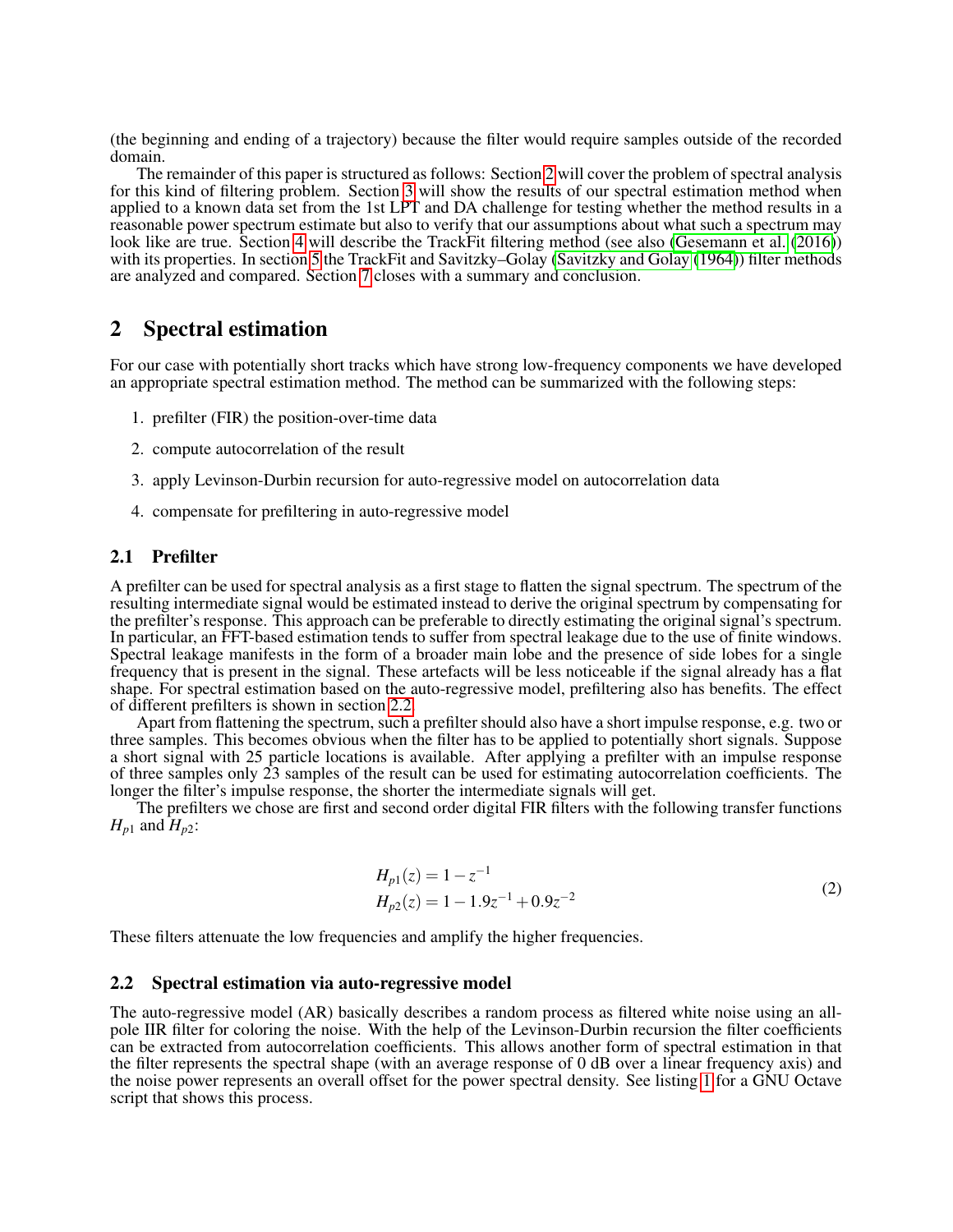(the beginning and ending of a trajectory) because the filter would require samples outside of the recorded domain.

The remainder of this paper is structured as follows: Section [2](#page-1-0) will cover the problem of spectral analysis for this kind of filtering problem. Section [3](#page-3-0) will show the results of our spectral estimation method when applied to a known data set from the 1st LPT and DA challenge for testing whether the method results in a reasonable power spectrum estimate but also to verify that our assumptions about what such a spectrum may look like are true. Section [4](#page-3-1) will describe the TrackFit filtering method (see also [\(Gesemann et al.](#page-6-0) [\(2016\)](#page-6-0)) with its properties. In section [5](#page-5-0) the TrackFit and Savitzky–Golay [\(Savitzky and Golay](#page-6-1) [\(1964\)](#page-6-1)) filter methods are analyzed and compared. Section [7](#page-6-2) closes with a summary and conclusion.

## <span id="page-1-0"></span>2 Spectral estimation

For our case with potentially short tracks which have strong low-frequency components we have developed an appropriate spectral estimation method. The method can be summarized with the following steps:

- 1. prefilter (FIR) the position-over-time data
- 2. compute autocorrelation of the result
- 3. apply Levinson-Durbin recursion for auto-regressive model on autocorrelation data
- 4. compensate for prefiltering in auto-regressive model

#### 2.1 Prefilter

A prefilter can be used for spectral analysis as a first stage to flatten the signal spectrum. The spectrum of the resulting intermediate signal would be estimated instead to derive the original spectrum by compensating for the prefilter's response. This approach can be preferable to directly estimating the original signal's spectrum. In particular, an FFT-based estimation tends to suffer from spectral leakage due to the use of finite windows. Spectral leakage manifests in the form of a broader main lobe and the presence of side lobes for a single frequency that is present in the signal. These artefacts will be less noticeable if the signal already has a flat shape. For spectral estimation based on the auto-regressive model, prefiltering also has benefits. The effect of different prefilters is shown in section [2.2.](#page-1-1)

Apart from flattening the spectrum, such a prefilter should also have a short impulse response, e.g. two or three samples. This becomes obvious when the filter has to be applied to potentially short signals. Suppose a short signal with 25 particle locations is available. After applying a prefilter with an impulse response of three samples only 23 samples of the result can be used for estimating autocorrelation coefficients. The longer the filter's impulse response, the shorter the intermediate signals will get.

The prefilters we chose are first and second order digital FIR filters with the following transfer functions  $H_{p1}$  and  $H_{p2}$ :

$$
H_{p1}(z) = 1 - z^{-1}
$$
  
\n
$$
H_{p2}(z) = 1 - 1.9z^{-1} + 0.9z^{-2}
$$
\n(2)

These filters attenuate the low frequencies and amplify the higher frequencies.

#### <span id="page-1-1"></span>2.2 Spectral estimation via auto-regressive model

The auto-regressive model (AR) basically describes a random process as filtered white noise using an allpole IIR filter for coloring the noise. With the help of the Levinson-Durbin recursion the filter coefficients can be extracted from autocorrelation coefficients. This allows another form of spectral estimation in that the filter represents the spectral shape (with an average response of 0 dB over a linear frequency axis) and the noise power represents an overall offset for the power spectral density. See listing [1](#page-2-0) for a GNU Octave script that shows this process.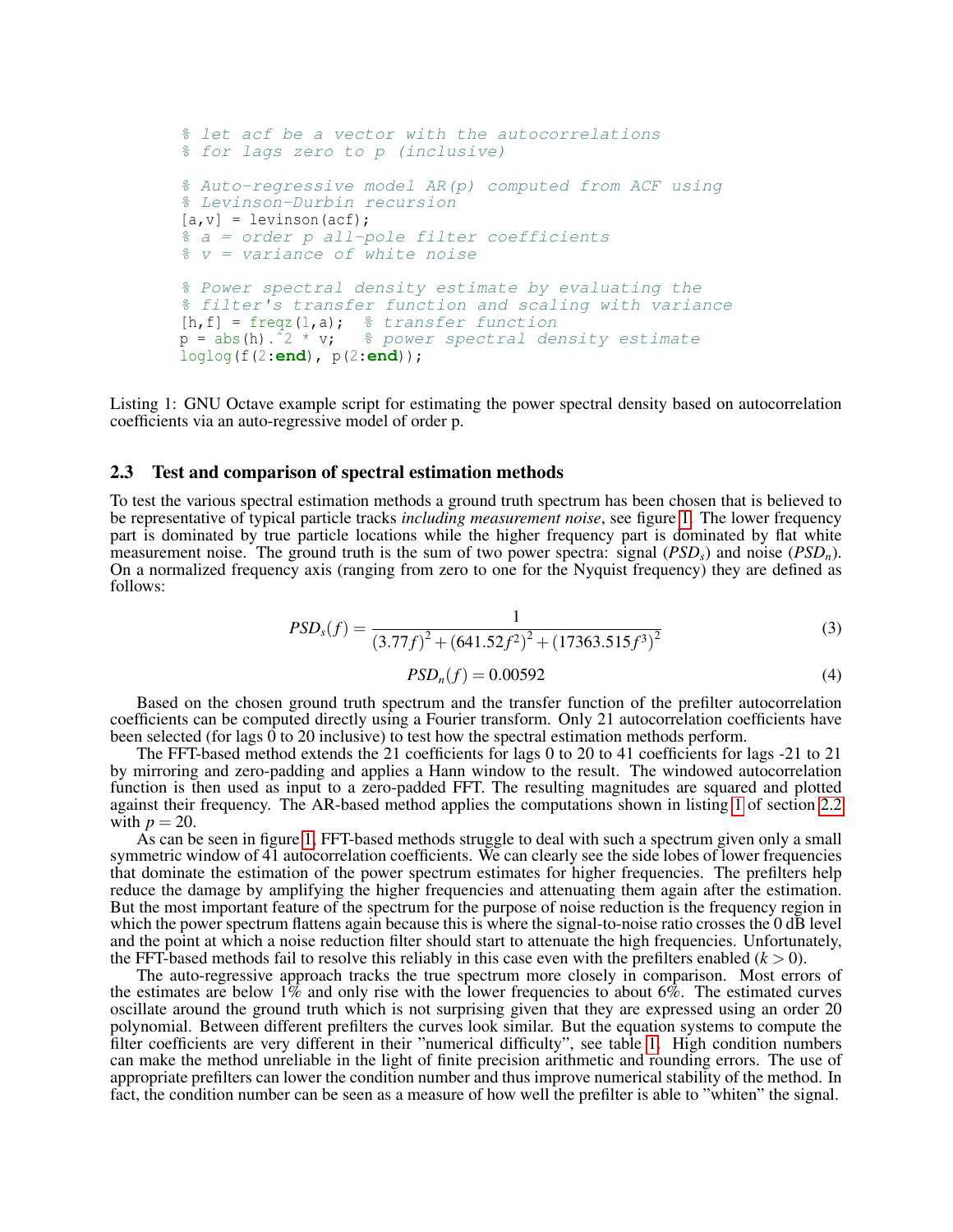```
% let acf be a vector with the autocorrelations
% for lags zero to p (inclusive)
% Auto-regressive model AR(p) computed from ACF using
% Levinson-Durbin recursion
[a,v] = levinson(acf);
% a = order p all-pole filter coefficients
% v = variance of which is a constant.% Power spectral density estimate by evaluating the
% filter's transfer function and scaling with variance
[h, f] = freqz(1, a); % transfer function
p = abs(h).<sup>2 * v</sup>; \frac{1}{2} power spectral density estimate
loglog(f(2:end), p(2:end));
```
<span id="page-2-0"></span>Listing 1: GNU Octave example script for estimating the power spectral density based on autocorrelation coefficients via an auto-regressive model of order p.

#### 2.3 Test and comparison of spectral estimation methods

To test the various spectral estimation methods a ground truth spectrum has been chosen that is believed to be representative of typical particle tracks *including measurement noise*, see figure [1.](#page-3-2) The lower frequency part is dominated by true particle locations while the higher frequency part is dominated by flat white measurement noise. The ground truth is the sum of two power spectra: signal (*PSDs*) and noise (*PSDn*). On a normalized frequency axis (ranging from zero to one for the Nyquist frequency) they are defined as follows:

$$
PSDs(f) = \frac{1}{(3.77f)^2 + (641.52f^2)^2 + (17363.515f^3)^2}
$$
\n(3)

$$
PSD_n(f) = 0.00592\tag{4}
$$

Based on the chosen ground truth spectrum and the transfer function of the prefilter autocorrelation coefficients can be computed directly using a Fourier transform. Only 21 autocorrelation coefficients have been selected (for lags  $\hat{0}$  to 20 inclusive) to test how the spectral estimation methods perform.

The FFT-based method extends the 21 coefficients for lags 0 to 20 to 41 coefficients for lags -21 to 21 by mirroring and zero-padding and applies a Hann window to the result. The windowed autocorrelation function is then used as input to a zero-padded FFT. The resulting magnitudes are squared and plotted against their frequency. The AR-based method applies the computations shown in listing [1](#page-2-0) of section [2.2](#page-1-1) with  $p = 20$ .

As can be seen in figure [1,](#page-3-2) FFT-based methods struggle to deal with such a spectrum given only a small symmetric window of 41 autocorrelation coefficients. We can clearly see the side lobes of lower frequencies that dominate the estimation of the power spectrum estimates for higher frequencies. The prefilters help reduce the damage by amplifying the higher frequencies and attenuating them again after the estimation. But the most important feature of the spectrum for the purpose of noise reduction is the frequency region in which the power spectrum flattens again because this is where the signal-to-noise ratio crosses the 0 dB level and the point at which a noise reduction filter should start to attenuate the high frequencies. Unfortunately, the FFT-based methods fail to resolve this reliably in this case even with the prefilters enabled  $(k > 0)$ .

The auto-regressive approach tracks the true spectrum more closely in comparison. Most errors of the estimates are below  $1\%$  and only rise with the lower frequencies to about  $6\%$ . The estimated curves oscillate around the ground truth which is not surprising given that they are expressed using an order 20 polynomial. Between different prefilters the curves look similar. But the equation systems to compute the filter coefficients are very different in their "numerical difficulty", see table [1.](#page-3-3) High condition numbers can make the method unreliable in the light of finite precision arithmetic and rounding errors. The use of appropriate prefilters can lower the condition number and thus improve numerical stability of the method. In fact, the condition number can be seen as a measure of how well the prefilter is able to "whiten" the signal.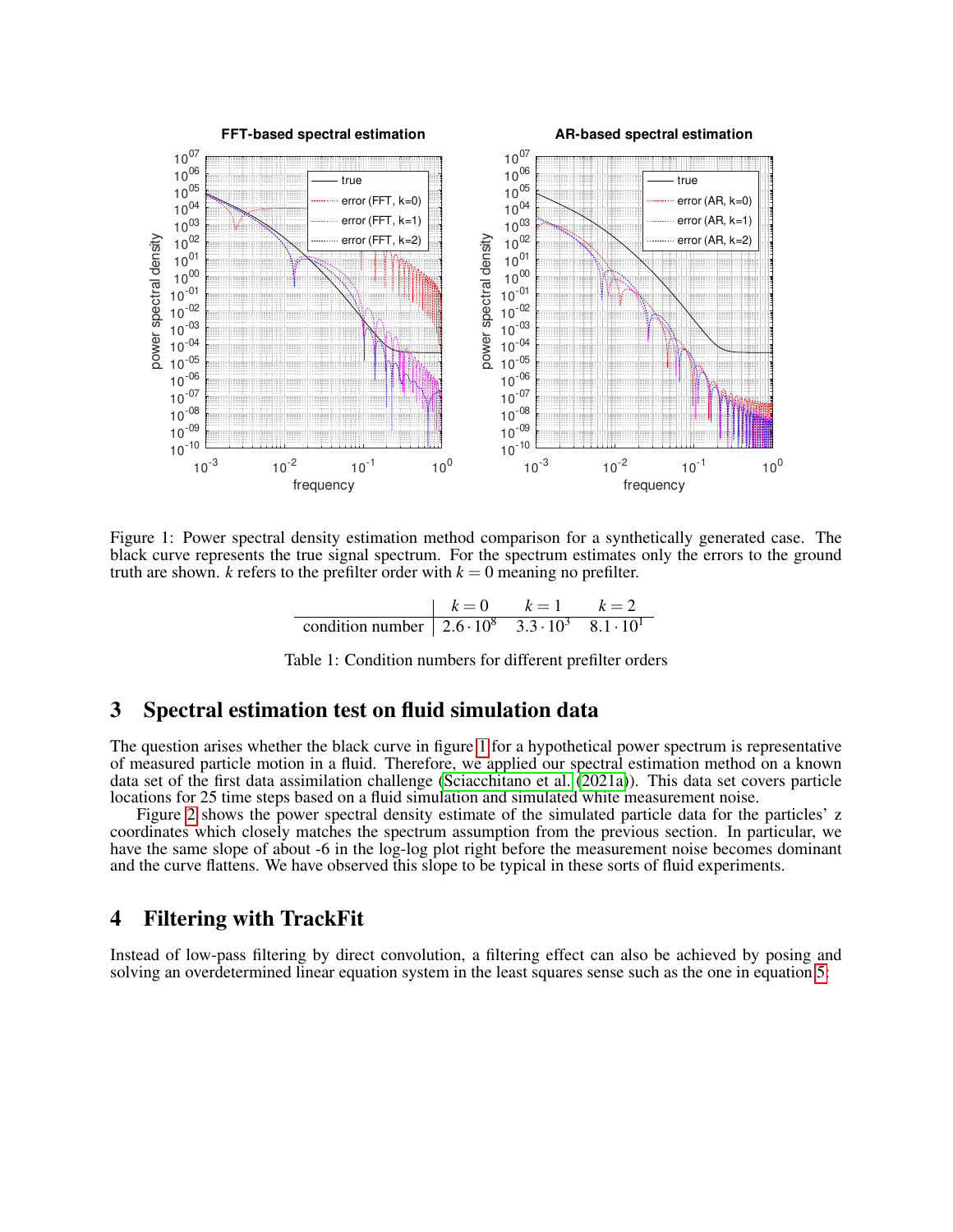

Figure 1: Power spectral density estimation method comparison for a synthetically generated case. The black curve represents the true signal spectrum. For the spectrum estimates only the errors to the ground truth are shown. *k* refers to the prefilter order with  $k = 0$  meaning no prefilter.

<span id="page-3-3"></span><span id="page-3-2"></span>

|                                                                                                       | $V = \mathbf{U}$ | $k=1$ |  |
|-------------------------------------------------------------------------------------------------------|------------------|-------|--|
| condition number $\left[ 2.6 \cdot \overline{10^8 \quad 3.3 \cdot 10^3 \quad 8.1 \cdot 10^1} \right]$ |                  |       |  |

Table 1: Condition numbers for different prefilter orders

#### <span id="page-3-0"></span>3 Spectral estimation test on fluid simulation data

The question arises whether the black curve in figure [1](#page-3-2) for a hypothetical power spectrum is representative of measured particle motion in a fluid. Therefore, we applied our spectral estimation method on a known data set of the first data assimilation challenge [\(Sciacchitano et al.](#page-7-0) [\(2021a\)](#page-7-0)). This data set covers particle locations for 25 time steps based on a fluid simulation and simulated white measurement noise.

Figure [2](#page-4-0) shows the power spectral density estimate of the simulated particle data for the particles' z coordinates which closely matches the spectrum assumption from the previous section. In particular, we have the same slope of about -6 in the log-log plot right before the measurement noise becomes dominant and the curve flattens. We have observed this slope to be typical in these sorts of fluid experiments.

#### <span id="page-3-1"></span>4 Filtering with TrackFit

Instead of low-pass filtering by direct convolution, a filtering effect can also be achieved by posing and solving an overdetermined linear equation system in the least squares sense such as the one in equation [5:](#page-4-1)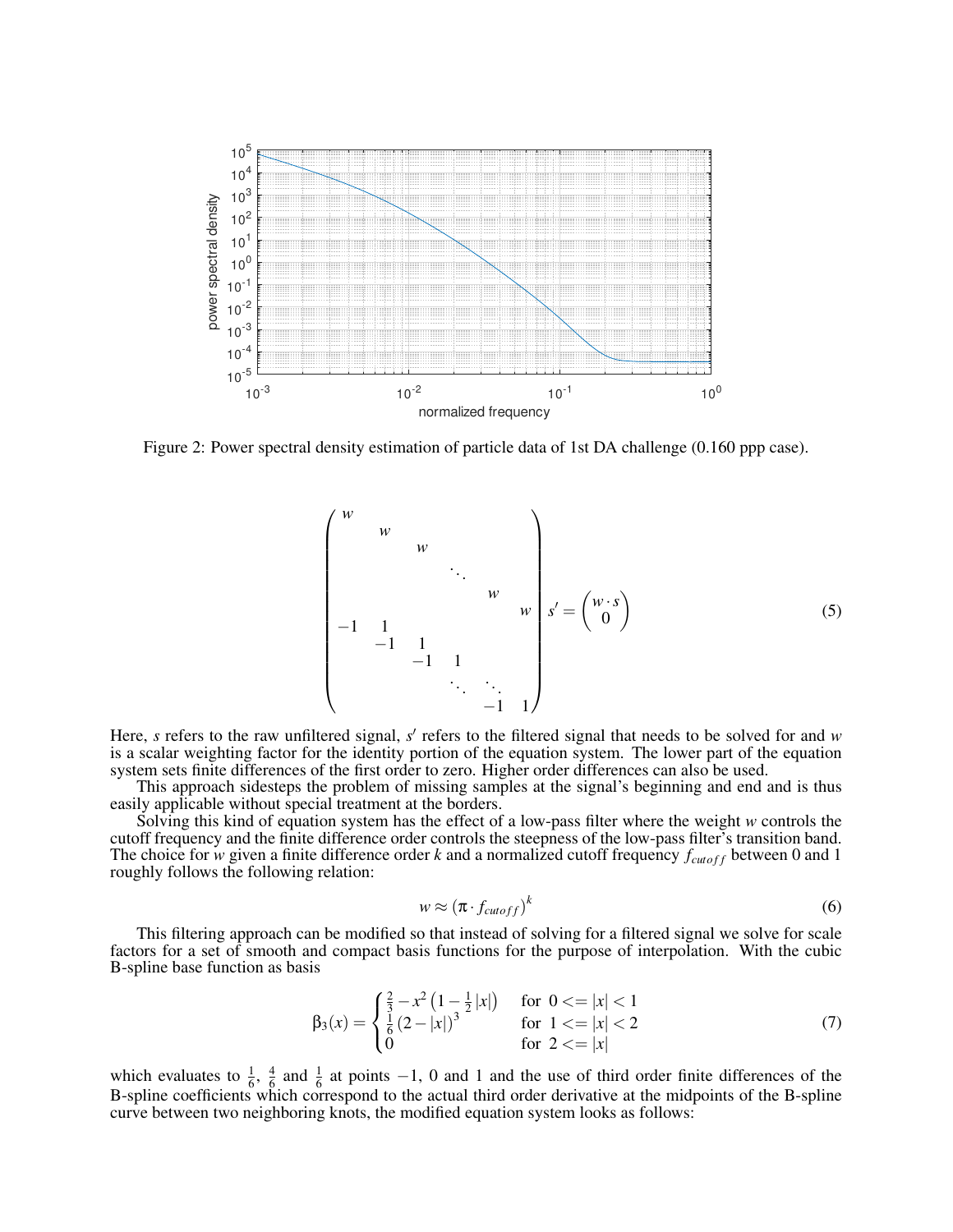

Figure 2: Power spectral density estimation of particle data of 1st DA challenge (0.160 ppp case).

<span id="page-4-1"></span><span id="page-4-0"></span> *w w w* . . . *w w* −1 1 −1 1 −1 1 . . . . . . −1 1 *s* <sup>0</sup> = *w*·*s* 0 (5)

Here, *s* refers to the raw unfiltered signal, *s'* refers to the filtered signal that needs to be solved for and *w* is a scalar weighting factor for the identity portion of the equation system. The lower part of the equation system sets finite differences of the first order to zero. Higher order differences can also be used.

This approach sidesteps the problem of missing samples at the signal's beginning and end and is thus easily applicable without special treatment at the borders.

Solving this kind of equation system has the effect of a low-pass filter where the weight *w* controls the cutoff frequency and the finite difference order controls the steepness of the low-pass filter's transition band. The choice for *w* given a finite difference order *k* and a normalized cutoff frequency  $f_{cutoff}$  between 0 and 1 roughly follows the following relation:

$$
w \approx (\pi \cdot f_{cutoff})^k \tag{6}
$$

This filtering approach can be modified so that instead of solving for a filtered signal we solve for scale factors for a set of smooth and compact basis functions for the purpose of interpolation. With the cubic B-spline base function as basis

$$
\beta_3(x) = \begin{cases} \frac{2}{3} - x^2 \left( 1 - \frac{1}{2} |x| \right) & \text{for } 0 < = |x| < 1\\ \frac{1}{6} \left( 2 - |x| \right)^3 & \text{for } 1 < = |x| < 2\\ 0 & \text{for } 2 < = |x| \end{cases}
$$
(7)

which evaluates to  $\frac{1}{6}$ ,  $\frac{4}{6}$  $\frac{4}{6}$  and  $\frac{1}{6}$  at points -1, 0 and 1 and the use of third order finite differences of the B-spline coefficients which correspond to the actual third order derivative at the midpoints of the B-spline curve between two neighboring knots, the modified equation system looks as follows: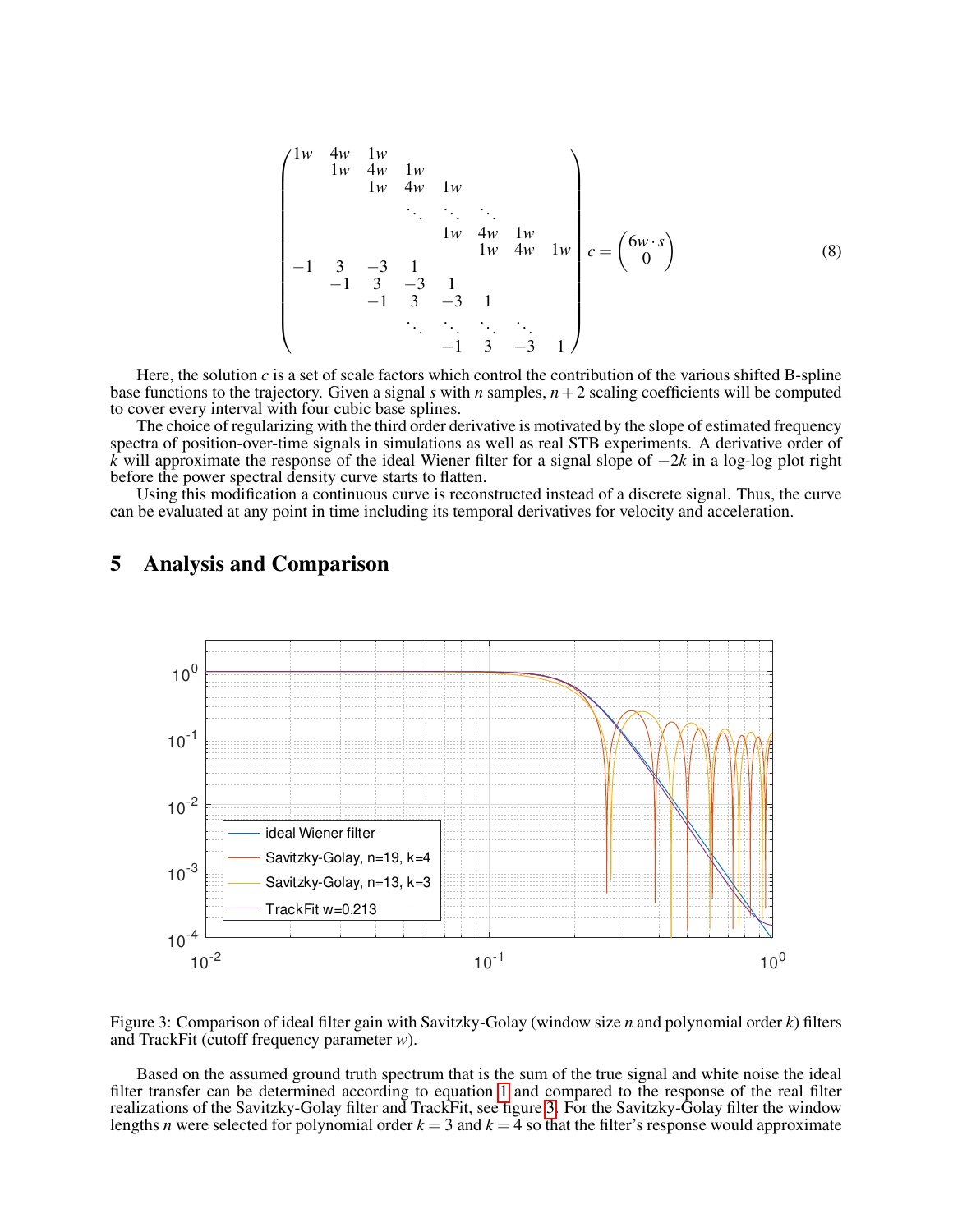1*w* 4*w* 1*w* 1*w* 4*w* 1*w* 1*w* 4*w* 1*w* . . . . . . . . . 1*w* 4*w* 1*w* 1*w* 4*w* 1*w* −1 3 −3 1 −1 3 −3 1 −1 3 −3 1 . . . . . . . . . . . . −1 3 −3 1 *c* = 6*w*·*s* 0 (8)

Here, the solution *c* is a set of scale factors which control the contribution of the various shifted B-spline base functions to the trajectory. Given a signal *s* with *n* samples,  $n+2$  scaling coefficients will be computed to cover every interval with four cubic base splines.

The choice of regularizing with the third order derivative is motivated by the slope of estimated frequency spectra of position-over-time signals in simulations as well as real STB experiments. A derivative order of *k* will approximate the response of the ideal Wiener filter for a signal slope of −2*k* in a log-log plot right before the power spectral density curve starts to flatten.

Using this modification a continuous curve is reconstructed instead of a discrete signal. Thus, the curve can be evaluated at any point in time including its temporal derivatives for velocity and acceleration.



#### <span id="page-5-0"></span>5 Analysis and Comparison

<span id="page-5-1"></span>Figure 3: Comparison of ideal filter gain with Savitzky-Golay (window size *n* and polynomial order *k*) filters and TrackFit (cutoff frequency parameter *w*).

Based on the assumed ground truth spectrum that is the sum of the true signal and white noise the ideal filter transfer can be determined according to equation [1](#page-0-0) and compared to the response of the real filter realizations of the Savitzky-Golay filter and TrackFit, see figure [3.](#page-5-1) For the Savitzky-Golay filter the window lengths *n* were selected for polynomial order  $k = 3$  and  $k = 4$  so that the filter's response would approximate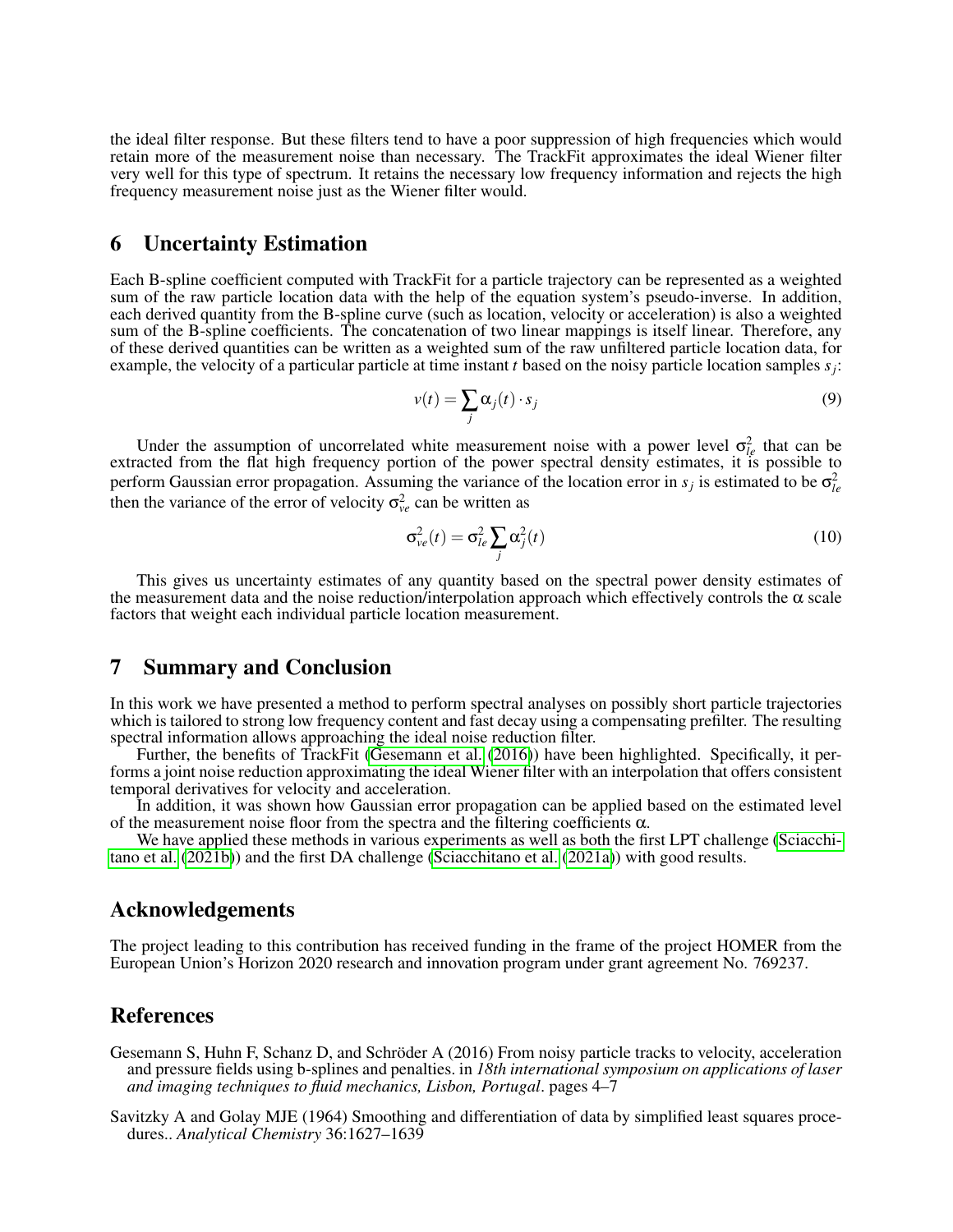the ideal filter response. But these filters tend to have a poor suppression of high frequencies which would retain more of the measurement noise than necessary. The TrackFit approximates the ideal Wiener filter very well for this type of spectrum. It retains the necessary low frequency information and rejects the high frequency measurement noise just as the Wiener filter would.

#### 6 Uncertainty Estimation

Each B-spline coefficient computed with TrackFit for a particle trajectory can be represented as a weighted sum of the raw particle location data with the help of the equation system's pseudo-inverse. In addition, each derived quantity from the B-spline curve (such as location, velocity or acceleration) is also a weighted sum of the B-spline coefficients. The concatenation of two linear mappings is itself linear. Therefore, any of these derived quantities can be written as a weighted sum of the raw unfiltered particle location data, for example, the velocity of a particular particle at time instant *t* based on the noisy particle location samples *s<sup>j</sup>* :

$$
v(t) = \sum_{j} \alpha_{j}(t) \cdot s_{j} \tag{9}
$$

Under the assumption of uncorrelated white measurement noise with a power level  $\sigma_{le}^2$  that can be extracted from the flat high frequency portion of the power spectral density estimates, it is possible to perform Gaussian error propagation. Assuming the variance of the location error in  $s_j$  is estimated to be  $\sigma_{le}^2$ then the variance of the error of velocity  $\sigma_{ve}^2$  can be written as

$$
\sigma_{ve}^2(t) = \sigma_{le}^2 \sum_j \alpha_j^2(t)
$$
\n(10)

This gives us uncertainty estimates of any quantity based on the spectral power density estimates of the measurement data and the noise reduction/interpolation approach which effectively controls the  $\alpha$  scale factors that weight each individual particle location measurement.

## <span id="page-6-2"></span>7 Summary and Conclusion

In this work we have presented a method to perform spectral analyses on possibly short particle trajectories which is tailored to strong low frequency content and fast decay using a compensating prefilter. The resulting spectral information allows approaching the ideal noise reduction filter.

Further, the benefits of TrackFit [\(Gesemann et al.](#page-6-0) [\(2016\)](#page-6-0)) have been highlighted. Specifically, it performs a joint noise reduction approximating the ideal Wiener filter with an interpolation that offers consistent temporal derivatives for velocity and acceleration.

In addition, it was shown how Gaussian error propagation can be applied based on the estimated level of the measurement noise floor from the spectra and the filtering coefficients  $\alpha$ .

We have applied these methods in various experiments as well as both the first LPT challenge [\(Sciacchi](#page-7-1)[tano et al.](#page-7-1)  $(20\hat{2}1b)$  and the first DA challenge [\(Sciacchitano et al.](#page-7-0)  $(2021a)$ ) with good results.

## Acknowledgements

The project leading to this contribution has received funding in the frame of the project HOMER from the European Union's Horizon 2020 research and innovation program under grant agreement No. 769237.

#### References

- <span id="page-6-0"></span>Gesemann S, Huhn F, Schanz D, and Schröder A (2016) From noisy particle tracks to velocity, acceleration and pressure fields using b-splines and penalties. in *18th international symposium on applications of laser and imaging techniques to fluid mechanics, Lisbon, Portugal*. pages 4–7
- <span id="page-6-1"></span>Savitzky A and Golay MJE (1964) Smoothing and differentiation of data by simplified least squares procedures.. *Analytical Chemistry* 36:1627–1639